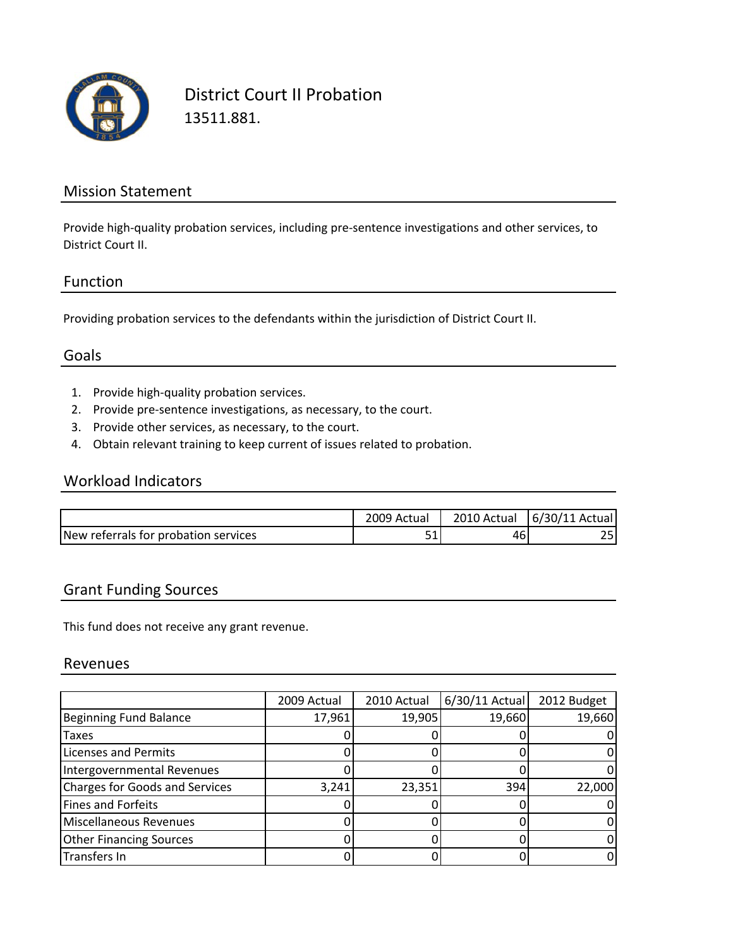

District Court II Probation 13511.881.

### Mission Statement

Provide high‐quality probation services, including pre‐sentence investigations and other services, to District Court II.

#### Function

Providing probation services to the defendants within the jurisdiction of District Court II.

## Goals

- 1. Provide high‐quality probation services.
- 2. Provide pre‐sentence investigations, as necessary, to the court.
- 3. Provide other services, as necessary, to the court.
- 4. Obtain relevant training to keep current of issues related to probation.

#### Workload Indicators

|                                       | 2009 Actual   | 2010 Actual | 6/30/11<br>Actual |
|---------------------------------------|---------------|-------------|-------------------|
| INew referrals for probation services | $ \sim$<br>ᇰᆂ | 46          | ~-                |

### Grant Funding Sources

This fund does not receive any grant revenue.

#### Revenues

|                                       | 2009 Actual | 2010 Actual | $6/30/11$ Actual | 2012 Budget |
|---------------------------------------|-------------|-------------|------------------|-------------|
| <b>Beginning Fund Balance</b>         | 17,961      | 19,905      | 19,660           | 19,660      |
| Taxes                                 |             |             |                  |             |
| <b>Licenses and Permits</b>           |             |             |                  |             |
| Intergovernmental Revenues            |             |             |                  |             |
| <b>Charges for Goods and Services</b> | 3,241       | 23,351      | 394              | 22,000      |
| <b>Fines and Forfeits</b>             |             |             |                  |             |
| Miscellaneous Revenues                |             |             |                  |             |
| <b>Other Financing Sources</b>        |             |             |                  |             |
| Transfers In                          |             |             |                  |             |